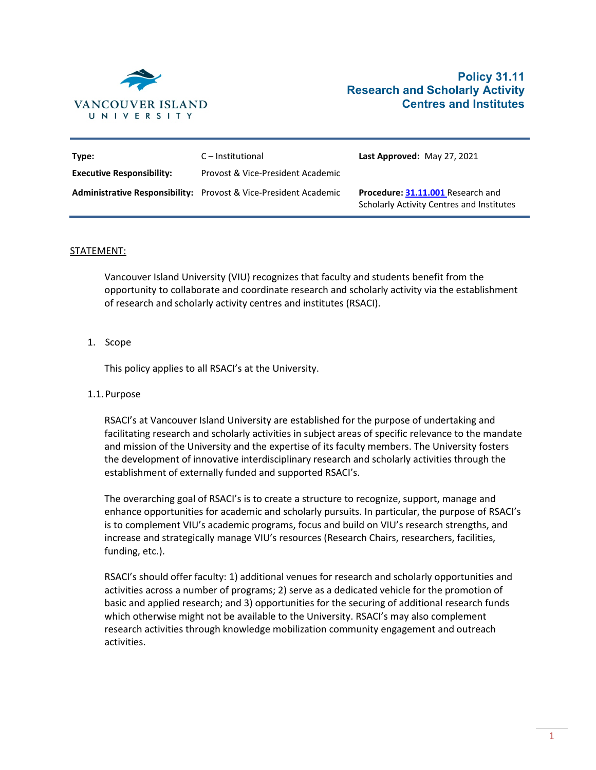

# **Policy 31.11 Research and Scholarly Activity Centres and Institutes**

| Type:                            | C – Institutional                                                       | Last Approved: May 27, 2021                                                           |
|----------------------------------|-------------------------------------------------------------------------|---------------------------------------------------------------------------------------|
| <b>Executive Responsibility:</b> | Provost & Vice-President Academic                                       |                                                                                       |
|                                  | <b>Administrative Responsibility:</b> Provost & Vice-President Academic | Procedure: 31.11.001 Research and<br><b>Scholarly Activity Centres and Institutes</b> |

#### STATEMENT:

Vancouver Island University (VIU) recognizes that faculty and students benefit from the opportunity to collaborate and coordinate research and scholarly activity via the establishment of research and scholarly activity centres and institutes (RSACI).

## 1. Scope

This policy applies to all RSACI's at the University.

## 1.1.Purpose

RSACI's at Vancouver Island University are established for the purpose of undertaking and facilitating research and scholarly activities in subject areas of specific relevance to the mandate and mission of the University and the expertise of its faculty members. The University fosters the development of innovative interdisciplinary research and scholarly activities through the establishment of externally funded and supported RSACI's.

The overarching goal of RSACI's is to create a structure to recognize, support, manage and enhance opportunities for academic and scholarly pursuits. In particular, the purpose of RSACI's is to complement VIU's academic programs, focus and build on VIU's research strengths, and increase and strategically manage VIU's resources (Research Chairs, researchers, facilities, funding, etc.).

RSACI's should offer faculty: 1) additional venues for research and scholarly opportunities and activities across a number of programs; 2) serve as a dedicated vehicle for the promotion of basic and applied research; and 3) opportunities for the securing of additional research funds which otherwise might not be available to the University. RSACI's may also complement research activities through knowledge mobilization community engagement and outreach activities.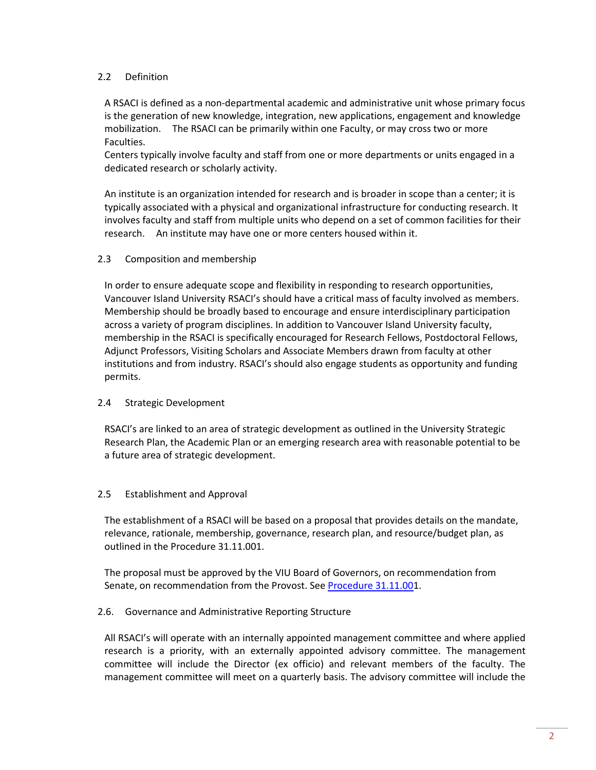## 2.2 Definition

A RSACI is defined as a non-departmental academic and administrative unit whose primary focus is the generation of new knowledge, integration, new applications, engagement and knowledge mobilization. The RSACI can be primarily within one Faculty, or may cross two or more Faculties.

Centers typically involve faculty and staff from one or more departments or units engaged in a dedicated research or scholarly activity.

An institute is an organization intended for research and is broader in scope than a center; it is typically associated with a physical and organizational infrastructure for conducting research. It involves faculty and staff from multiple units who depend on a set of common facilities for their research. An institute may have one or more centers housed within it.

## 2.3 Composition and membership

In order to ensure adequate scope and flexibility in responding to research opportunities, Vancouver Island University RSACI's should have a critical mass of faculty involved as members. Membership should be broadly based to encourage and ensure interdisciplinary participation across a variety of program disciplines. In addition to Vancouver Island University faculty, membership in the RSACI is specifically encouraged for Research Fellows, Postdoctoral Fellows, Adjunct Professors, Visiting Scholars and Associate Members drawn from faculty at other institutions and from industry. RSACI's should also engage students as opportunity and funding permits.

## 2.4 Strategic Development

RSACI's are linked to an area of strategic development as outlined in the University Strategic Research Plan, the Academic Plan or an emerging research area with reasonable potential to be a future area of strategic development.

## 2.5 Establishment and Approval

The establishment of a RSACI will be based on a proposal that provides details on the mandate, relevance, rationale, membership, governance, research plan, and resource/budget plan, as outlined in the Procedure 31.11.001.

The proposal must be approved by the VIU Board of Governors, on recommendation from Senate, on recommendation from the Provost. See Procedure 31.11.001.

## 2.6. Governance and Administrative Reporting Structure

All RSACI's will operate with an internally appointed management committee and where applied research is a priority, with an externally appointed advisory committee. The management committee will include the Director (ex officio) and relevant members of the faculty. The management committee will meet on a quarterly basis. The advisory committee will include the